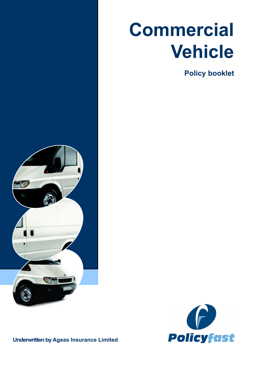# **Commercial Vehicle**

**Policy booklet**





**Underwritten by Ageas Insurance Limited**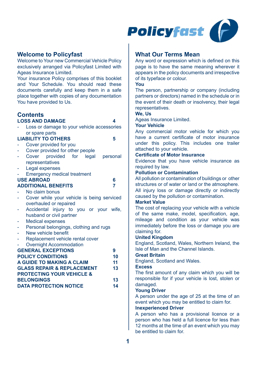

## **Welcome to Policyfast**

Welcome to Your new Commercial Vehicle Policy exclusively arranged via Policyfast Limited with Ageas Insurance Limited.

Your insurance Policy comprises of this booklet and Your Schedule. You should read these documents carefully and keep them in a safe place together with copies of any documentation You have provided to Us.

## **Contents**

#### **LOSS AND DAMAGE 4**

- 
- Loss or damage to your vehicle accessories or spare parts

## **LIABILITY TO OTHERS 5**

- Cover provided for you
- Cover provided for other people<br>Cover provided for legal Cover provided for legal personal
- representatives
- Legal expenses
- Emergency medical treatment

**USE ABROAD 6**<br>ADDITIONAL BENEEITS 5 **ADDITIONAL BENEFITS 7**

- No claim bonus
- Cover while your vehicle is being serviced overhauled or repaired
- Accidental injury to you or your wife, husband or civil partner
- Medical expenses
- Personal belongings, clothing and rugs
- New vehicle benefit
- Replacement vehicle rental cover

#### Overnight Accommodation

| <b>GENERAL EXCEPTIONS</b>             | 9  |
|---------------------------------------|----|
| <b>POLICY CONDITIONS</b>              | 10 |
| A GUIDE TO MAKING A CLAIM             | 11 |
| <b>GLASS REPAIR &amp; REPLACEMENT</b> | 13 |
| <b>PROTECTING YOUR VEHICLE &amp;</b>  |    |
| <b>BELONGINGS</b>                     | 13 |
| <b>DATA PROTECTION NOTICE</b>         | 14 |
|                                       |    |

## **What Our Terms Mean**

Any word or expression which is defined on this page is to have the same meaning wherever it appears in the policy documents and irrespective of its typeface or colour.

## **You**

The person, partnership or company (including partners or directors) named in the schedule or in the event of their death or insolvency, their legal representatives.

### **We, Us**

Ageas Insurance Limited.

## **Your Vehicle**

Any commercial motor vehicle for which you have a current certificate of motor insurance under this policy. This includes one trailer attached to your vehicle.

## **Certificate of Motor Insurance**

Evidence that you have vehicle insurance as required by law.

#### **Pollution or Contamination**

All pollution or contamination of buildings or other structures or of water or land or the atmosphere. All injury loss or damage directly or indirectly caused by the pollution or contamination.

#### **Market Value**

The cost of replacing your vehicle with a vehicle of the same make, model, specification, age, mileage and condition as your vehicle was immediately before the loss or damage you are claiming for.

#### **United Kingdom**

England, Scotland, Wales, Northern Ireland, the Isle of Man and the Channel Islands.

## **Great Britain**

England, Scotland and Wales.

#### **Excess**

The first amount of any claim which you will be responsible for if your vehicle is lost, stolen or damaged.

## **Young Driver**

A person under the age of 25 at the time of an event which you may be entitled to claim for.

## **Inexperienced Driver**

A person who has a provisional licence or a person who has held a full licence for less than 12 months at the time of an event which you may be entitled to claim for.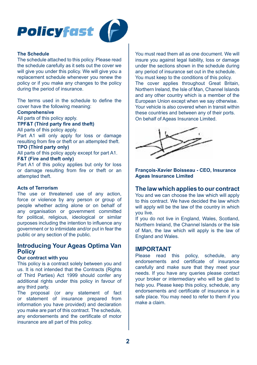



#### **The Schedule**

The schedule attached to this policy. Please read the schedule carefully as it sets out the cover we will give you under this policy. We will give you a replacement schedule whenever you renew the policy or if you make any changes to the policy during the period of insurance.

The terms used in the schedule to define the cover have the following meaning:

#### **Comprehensive**

All parts of this policy apply.

**TPF&T (Third party fire and theft)**

All parts of this policy apply.

Part A1 will only apply for loss or damage resulting from fire or theft or an attempted theft.

## **TPO (Third party only)**

All parts of this policy apply except for part A1. **F&T (Fire and theft only)**

Part A1 of this policy applies but only for loss or damage resulting from fire or theft or an attempted theft.

#### **Acts of Terrorism**

The use or threatened use of any action, force or violence by any person or group of people whether acting alone or on behalf of any organisation or government committed for political, religious, ideological or similar purposes including the intention to influence any government or to intimidate and/or put in fear the public or any section of the public.

## **Introducing Your Ageas Optima Van Policy**

## **Our contract with you**

This policy is a contract solely between you and us. It is not intended that the Contracts (Rights of Third Parties) Act 1999 should confer any additional rights under this policy in favour of any third party.

The proposal (or any statement of fact or statement of insurance prepared from information you have provided) and declaration you make are part of this contract. The schedule, any endorsements and the certificate of motor insurance are all part of this policy.

You must read them all as one document. We will insure you against legal liability, loss or damage under the sections shown in the schedule during any period of insurance set out in the schedule. You must keep to the conditions of this policy. The cover applies throughout Great Britain, Northern Ireland, the Isle of Man, Channel Islands and any other country which is a member of the European Union except when we say otherwise. Your vehicle is also covered when in transit within these countries and between any of their ports. On behalf of Ageas Insurance Limited.



**François-Xavier Boisseau - CEO, Insurance Ageas Insurance Limited**

#### **The law which applies to our contract**

You and we can choose the law which will apply to this contract. We have decided the law which will apply will be the law of the country in which you live.

If you do not live in England, Wales, Scotland, Northern Ireland, the Channel Islands or the Isle of Man, the law which will apply is the law of England and Wales.

## **IMPORTANT**

Please read this policy, schedule, any endorsements and certificate of insurance carefully and make sure that they meet your needs. If you have any queries please contact your broker or intermediary who will be glad to help you. Please keep this policy, schedule, any endorsements and certificate of insurance in a safe place. You may need to refer to them if you make a claim.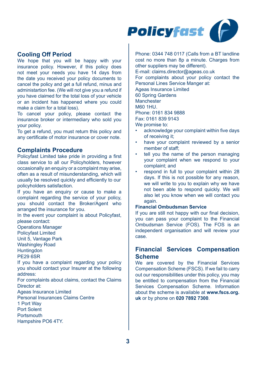

## **Cooling Off Period**

We hope that you will be happy with your insurance policy. However, if this policy does not meet your needs you have 14 days from the date you received your policy documents to cancel the policy and get a full refund, minus and administartion fee. (We will not give you a refund if you have claimed for the total loss of your vehicle or an incident has happened where you could make a claim for a total loss).

To cancel your policy, please contact the insurance broker or intermediary who sold you your policy.

To get a refund, you must return this policy and any certificate of motor insurance or cover note.

## **Complaints Procedure**

Policyfast Limited take pride in providing a first class service to all our Policyholders, however occasionally an enquiry or a complaint may arise, often as a result of misunderstanding, which will usually be resolved quickly and efficiently to our policyholders satisfaction.

If you have an enquiry or cause to make a complaint regarding the service of your policy, you should contact the Broker/Agent who arranged the insurance for you.

In the event your complaint is about Policyfast, please contact:

Operations Manager Policyfast Limited Unit 5, Vantage Park

Washingley Road

**Huntingdon** 

PE29 6SR

If you have a complaint regarding your policy you should contact your Insurer at the following address:

For complaints about claims, contact the Claims Director at:

Ageas Insurance Limited

Personal Insurances Claims Centre

1 Port Way

Port Solent

**Portsmouth** 

Hampshire PO6 4TY.

Phone: 0344 748 0117 (Calls from a BT landline cost no more than 8p a minute. Charges from other suppliers may be different). E-mail: claims.director@ageas.co.uk For complaints about your policy contact the Personal Lines Service Manger at: Ageas Insurance Limited 60 Spring Gardens **Manchester** M60 1HU. Phone: 0161 834 9888 Fax: 0161 839 9143

We promise to:

- acknowledge your complaint within five days of receiving it;
- have your complaint reviewed by a senior member of staff:
- tell you the name of the person managing your complaint when we respond to your complaint; and
- respond in full to your complaint within 28 days. If this is not possible for any reason, we will write to you to explain why we have not been able to respond quickly. We will also let you know when we will contact you again

### **Financial Ombudsman Service**

If you are still not happy with our final decision, you can pass your complaint to the Financial Ombudsman Service (FOS). The FOS is an independent organisation and will review your case.

## **Financial Services Compensation Scheme**

We are covered by the Financial Services Compensation Scheme (FSCS). If we fail to carry out our responsibilities under this policy, you may be entitled to compensation from the Financial Services Compensation Scheme. Information about the scheme is available at **www.fscs.org. uk** or by phone on **020 7892 7300**.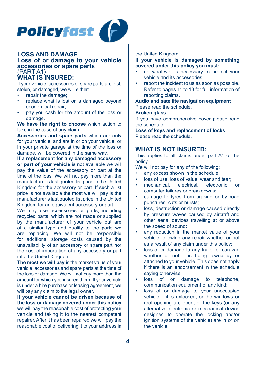



If your vehicle, accessories or spare parts are lost, stolen, or damaged, we will either:

- repair the damage;
- replace what is lost or is damaged beyond economical repair;
- pay you cash for the amount of the loss or damage.

**We have the right to choose** which action to take in the case of any claim.

**Accessories and spare parts** which are only for your vehicle, and are in or on your vehicle, or in your private garage at the time of the loss or damage, will be covered in the same way.

**If a replacement for any damaged accessory or part of your vehicle** is not available we will pay the value of the accessory or part at the time of the loss. We will not pay more than the manufacturer's last quoted list price in the United Kingdom for the accessory or part. If such a list price is not available the most we will pay is the manufacturer's last quoted list price in the United Kingdom for an equivalent accessory or part.

We may use accessories or parts, including recycled parts, which are not made or supplied by the manufacturer of your vehicle but are of a similar type and quality to the parts we are replacing. We will not be responsible for additional storage costs caused by the unavailability of an accessory or spare part nor the cost of importation of any accessory or part into the United Kingdom.

**The most we will pay** is the market value of your vehicle, accessories and spare parts at the time of the loss or damage. We will not pay more than the amount for which you insured them. If your vehicle is under a hire purchase or leasing agreement, we will pay any claim to the legal owner.

**If your vehicle cannot be driven because of the loss or damage covered under this policy**  we will pay the reasonable cost of protecting your vehicle and taking it to the nearest competent repairer. After it has been repaired we will pay the reasonable cost of delivering it to your address in

#### the United Kingdom.

**If your vehicle is damaged by something covered under this policy you must:**

- do whatever is necessary to protect your vehicle and its accessories;
- report the incident to us as soon as possible. Refer to pages 11 to 13 for full information of reporting claims.

**Audio and satellite navigation equipment** Please read the schedule.

#### **Broken glass**

If you have comprehensive cover please read the schedule.

**Loss of keys and replacement of locks** Please read the schedule.

## **WHAT IS NOT INSURED:**

This applies to all claims under part A1 of the policy.

We will not pay for any of the following:

- any excess shown in the schedule;
- loss of use, loss of value, wear and tear;<br>mechanical. electrical. electronic
- mechanical, electrical, electronic or computer failures or breakdowns;
- damage to tyres from braking or by road punctures, cuts or bursts;
- loss, destruction or damage caused directly by pressure waves caused by aircraft and other aerial devices travelling at or above the speed of sound;
- any reduction in the market value of your vehicle following any repair whether or not as a result of any claim under this policy;
- loss of or damage to any trailer or caravan whether or not it is being towed by or attached to your vehicle. This does not apply if there is an endorsement in the schedule saying otherwise;
- loss of or damage to telephone, communication equipment of any kind;
- loss of or damage to your unoccupied vehicle if it is unlocked, or the windows or roof opening are open, or the keys (or any alternative electronic or mechanical device designed to operate the locking and/or ignition systems of the vehicle) are in or on the vehicle;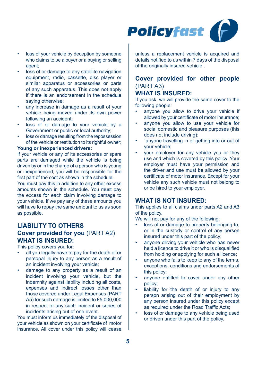

- loss of your vehicle by deception by someone who claims to be a buyer or a buying or selling agent;
- loss of or damage to any satellite navigation equipment, radio, cassette, disc player or similar apparatus or accessories or parts of any such apparatus. This does not apply if there is an endorsement in the schedule saying otherwise;
- any increase in damage as a result of your vehicle being moved under its own power following an accident;
- loss of or damage to your vehicle by a Government or public or local authority;
- loss or damage resulting from the repossession of the vehicle or restitution to its rightful owner;

## **Young or inexperienced drivers:**

If your vehicle or any of its accessories or spare parts are damaged while the vehicle is being driven by or in the charge of a person who is young or inexperienced, you will be responsible for the first part of the cost as shown in the schedule. You must pay this in addition to any other excess amounts shown in the schedule. You must pay the excess for each claim involving damage to your vehicle. If we pay any of these amounts you will have to repay the same amount to us as soon as possible.

## **LIABILITY TO OTHERS Cover provided for you** (PART A2) **WHAT IS INSURED:**

This policy covers you for:

- all you legally have to pay for the death of or personal injury to any person as a result of an incident involving your vehicle;
- damage to any property as a result of an incident involving your vehicle, but the indemnity against liability including all costs, expenses and indirect losses other than those covered under Legal Expenses (PART A5) for such damage is limited to £5,000,000 in respect of any such incident or series of incidents arising out of one event.

You must inform us immediately of the disposal of your vehicle as shown on your certificate of motor insurance. All cover under this policy will cease

unless a replacement vehicle is acquired and details notified to us within 7 days of the disposal of the originally insured vehicle.

## **Cover provided for other people**  (PART A3)

## **WHAT IS INSURED:**

If you ask, we will provide the same cover to the following people:

- anyone you allow to drive your vehicle if allowed by your certificate of motor insurance;
- anyone you allow to use your vehicle for social domestic and pleasure purposes (this does not include driving);
- `anyone travelling in or getting into or out of your vehicle;
- your employer for any vehicle you or they use and which is covered by this policy. Your employer must have your permission and the driver and use must be allowed by your certificate of motor insurance. Except for your vehicle any such vehicle must not belong to or be hired to your employer.

## **WHAT IS NOT INSURED:**

This applies to all claims under parts A2 and A3 of the policy.

We will not pay for any of the following:

- loss of or damage to property belonging to. or in the custody or control of any person insured under this part of the policy;
- anyone driving your vehicle who has never held a licence to drive it or who is disqualified from holding or applying for such a licence;
- anyone who fails to keep to any of the terms, exceptions, conditions and endorsements of this policy;
- anyone entitled to cover under any other policy;
- liability for the death of or injury to any person arising out of their employment by any person insured under this policy except as required under the Road Traffic Acts;
- loss of or damage to any vehicle being used or driven under this part of the policy.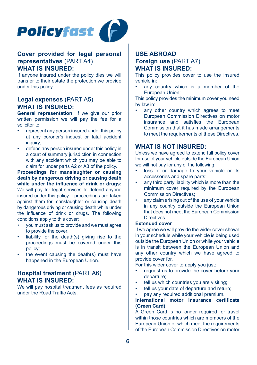



## **Cover provided for legal personal representatives** (PART A4) **WHAT IS INSURED:**

If anyone insured under the policy dies we will transfer to their estate the protection we provide under this policy.

## **Legal expenses** (PART A5) **WHAT IS INSURED:**

**General representation:** If we give our prior written permission we will pay the fee for a solicitor to:

- represent any person insured under this policy at any coroner's inquest or fatal accident inquiry;
- defend any person insured under this policy in a court of summary jurisdiction in connection with any accident which you may be able to claim for under parts A2 or A3 of the policy.

**Proceedings for manslaughter or causing death by dangerous driving or causing death while under the influence of drink or drugs:**  We will pay for legal services to defend anyone insured under this policy if proceedings are taken against them for manslaughter or causing death by dangerous driving or causing death while under the influence of drink or drugs. The following conditions apply to this cover:

- you must ask us to provide and we must agree to provide the cover;
- liability for the death(s) giving rise to the proceedings must be covered under this policy;
- the event causing the death(s) must have happened in the European Union.

## **Hospital treatment** (PART A6) **WHAT IS INSURED:**

We will pay hospital treatment fees as required under the Road Traffic Acts.

## **USE ABROAD**

## **Foreign use** (PART A7) **WHAT IS INSURED:**

This policy provides cover to use the insured vehicle in:

any country which is a member of the European Union;

This policy provides the minimum cover you need by law in:

any other country which agrees to meet European Commission Directives on motor insurance and satisfies the European Commission that it has made arrangements to meet the requirements of these Directives.

## **WHAT IS NOT INSURED:**

Unless we have agreed to extend full policy cover for use of your vehicle outside the European Union we will not pay for any of the following:

- loss of or damage to your vehicle or its accessories and spare parts;
- any third party liability which is more than the minimum cover required by the European Commission Directives;
- any claim arising out of the use of your vehicle in any country outside the European Union that does not meet the European Commission **Directives**

## **Extended cover**

If we agree we will provide the wider cover shown in your schedule while your vehicle is being used outside the European Union or while your vehicle is in transit between the European Union and any other country which we have agreed to provide cover for.

For this wider cover to apply you just:

- request us to provide the cover before your departure;
- tell us which countries you are visiting;
- tell us your date of departure and return;
- pay any required additional premium.

## **International motor insurance certificate (Green Card)**

A Green Card is no longer required for travel within those countries which are members of the European Union or which meet the requirements of the European Commission Directives on motor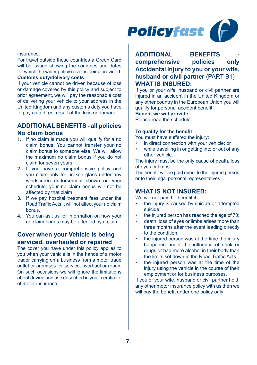

## insurance.

For travel outside these countries a Green Card will be issued showing the countries and dates for which the wider policy cover is being provided. **Customs duty/delivery costs**

If your vehicle cannot be driven because of loss or damage covered by this policy and subject to prior agreement, we will pay the reasonable cost of delivering your vehicle to your address in the United Kingdom and any customs duty you have to pay as a direct result of the loss or damage.

## **ADDITIONAL BENEFITS - all policies No claim bonus**

- **1.** If no claim is made you will qualify for a no claim bonus. You cannot transfer your no claim bonus to someone else. We will allow the maximum no claim bonus if you do not claim for seven years.
- **2.** If you have a comprehensive policy and you claim only for broken glass under any windscreen endorsement shown on your schedule, your no claim bonus will not be affected by that claim.
- **3.** If we pay hospital treatment fees under the Road Traffic Acts it will not affect your no claim bonus.
- **4.** You can ask us for information on how your no claim bonus may be affected by a claim.

## **Cover when your Vehicle is being serviced, overhauled or repaired**

The cover you have under this policy applies to you when your vehicle is in the hands of a motor trader carrying on a business from a motor trade outlet or premises for service, overhaul or repair. On such occasions we will ignore the limitations about driving and use described in your certificate of motor insurance.

**ADDITIONAL BENEFITS comprehensive policies only Accidental injury to you or your wife, husband or civil partner** (PART B1) **WHAT IS INSURED:**

If you or your wife, husband or civil partner are injured in an accident in the United Kingdom or any other country in the European Union you will qualify for personal accident benefit.

**Benefit we will provide** Please read the schedule.

#### **To qualify for the benefit**

You must have suffered the injury:

- in direct connection with your vehicle; or
- while travelling in or getting into or out of any other vehicle.

The injury must be the only cause of death, loss of eyes or limbs.

The benefit will be paid direct to the injured person or to their legal personal representatives.

## **WHAT IS NOT INSURED:**

We will not pay the benefit if:

- the injury is caused by suicide or attempted suicide;
- the injured person has reached the age of 70;
- death, loss of eyes or limbs arises more than three months after the event leading directly to the condition:
- the injured person was at the time the injury happened under the influence of drink or drugs or had more alcohol in their body than the limits set down in the Road Traffic Acts.
- the injured person was at the time of the injury using the vehicle in the course of their employment or for business purposes.

If you or your wife, husband or civil partner hold any other motor insurance policy with us then we will pay the benefit under one policy only.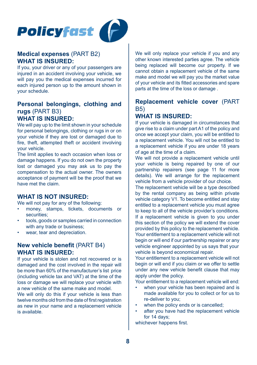



## **Medical expenses** (PART B2) **WHAT IS INSURED:**

If you, your driver or any of your passengers are injured in an accident involving your vehicle, we will pay you the medical expenses incurred for each injured person up to the amount shown in your schedule.

## **Personal belongings, clothing and rugs** (PART B3) **WHAT IS INSURED:**

We will pay up to the limit shown in your schedule for personal belongings, clothing or rugs in or on your vehicle if they are lost or damaged due to fire, theft, attempted theft or accident involving your vehicle.

The limit applies to each occasion when loss or damage happens. If you do not own the property lost or damaged you may ask us to pay the compensation to the actual owner. The owners acceptance of payment will be the proof that we have met the claim.

## **WHAT IS NOT INSURED:**

We will not pay for any of the following:

- money, stamps, tickets, documents or securities;
- tools, goods or samples carried in connection with any trade or business;
- wear, tear and depreciation

## **New vehicle benefit** (PART B4) **WHAT IS INSURED:**

If your vehicle is stolen and not recovered or is damaged and the cost involved in the repair will be more than 60% of the manufacturer's list price (including vehicle tax and VAT) at the time of the loss or damage we will replace your vehicle with a new vehicle of the same make and model.

We will only do this if your vehicle is less than twelve months old from the date of first registration as new in your name and a replacement vehicle is available.

We will only replace your vehicle if you and any other known interested parties agree. The vehicle being replaced will become our property. If we cannot obtain a replacement vehicle of the same make and model we will pay you the market value of your vehicle and its fitted accessories and spare parts at the time of the loss or damage .

## **Replacement vehicle cover** (PART B5)

## **WHAT IS INSURED:**

If your vehicle is damaged in circumstances that give rise to a claim under part A1 of the policy and once we accept your claim, you will be entitled to a replacement vehicle. You will not be entitled to a replacement vehicle if you are under 18 years of age at the time of a claim.

We will not provide a replacement vehicle until your vehicle is being repaired by one of our partnership repairers (see page 11 for more details). We will arrange for the replacement vehicle from a vehicle provider of our choice.

The replacement vehicle will be a type described by the rental company as being within private vehicle category V1. To become entitled and stay entitled to a replacement vehicle you must agree to keep to all of the vehicle provider's conditions. If a replacement vehicle is given to you under this section of the policy we will extend the cover provided by this policy to the replacement vehicle. Your entitlement to a replacement vehicle will not begin or will end if our partnership repairer or any vehicle engineer appointed by us says that your vehicle is beyond economical repair.

Your entitlement to a replacement vehicle will not begin or will end if you claim or we offer to settle under any new vehicle benefit clause that may apply under the policy.

Your entitlement to a replacement vehicle will end:

- when your vehicle has been repaired and is made available for you to collect or for us to re-deliver to you;
- when the policy ends or is cancelled:
- after you have had the replacement vehicle for 14 days;

whichever happens first.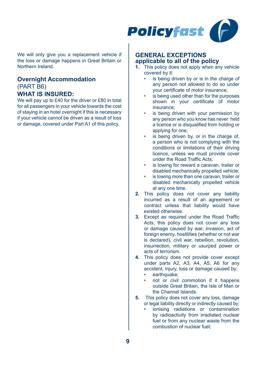

We will only give you a replacement vehicle if the loss or damage happens in Great Britain or Northern Ireland.

## **Overnight Accommodation** (PART B6) **WHAT IS INSURED:**

We will pay up to £40 for the driver or £80 in total for all passengers in your vehicle towards the cost of staying in an hotel overnight if this is necessary if your vehicle cannot be driven as a result of loss or damage, covered under Part A1 of this policy.

## **GENERAL EXCEPTIONS applicable to all of the policy**

- **1.** This policy does not apply when any vehicle covered by it:
	- is being driven by or is in the charge of any person not allowed to do so under your certificate of motor insurance;
	- is being used other than for the purposes shown in your certificate of motor insurance;
	- is being driven with your permission by any person who you know has never held a licence or is disqualified from holding or applying for one;
	- is being driven by, or in the charge of, a person who is not complying with the conditions or limitations of their driving licence, unless we must provide cover under the Road Traffic Acts;
	- is towing for reward a caravan, trailer or disabled mechanically propelled vehicle;
	- is towing more than one caravan, trailer or disabled mechanically propelled vehicle at any one time.
- **2.** This policy does not cover any liability incurred as a result of an agreement or contract unless that liability would have existed otherwise.
- **3.** Except as required under the Road Traffic Acts, this policy does not cover any loss or damage caused by war, invasion, act of foreign enemy, hostilities (whether or not war is declared), civil war, rebellion, revolution, insurrection, military or usurped power or acts of terrorism.
- **4.** This policy does not provide cover except under parts A2, A3, A4, A5, A6 for any accident, injury, loss or damage caused by:
	- earthquake;
	- riot or civil commotion if it happens outside Great Britain, the Isle of Man or the Channel Islands.
- **5.** This policy does not cover any loss, damage or legal liability directly or indirectly caused by:
	- ionising radiations or contamination by radioactivity from irradiated nuclear fuel or from any nuclear waste from the combustion of nuclear fuel;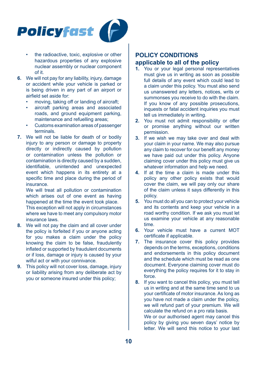

- the radioactive, toxic, explosive or other hazardous properties of any explosive nuclear assembly or nuclear component of it.
- **6.** We will not pay for any liability, injury, damage or accident while your vehicle is parked or is being driven in any part of an airport or airfield set aside for:
	- moving, taking off or landing of aircraft;
	- aircraft parking areas and associated roads, and ground equipment parking, maintenance and refuelling areas;
	- Customs examination areas of passenger terminals.
- **7.** We will not be liable for death of or bodily injury to any person or damage to property directly or indirectly caused by pollution or contamination unless the pollution or contamination is directly caused by a sudden, identifiable, unintended and unexpected event which happens in its entirety at a specific time and place during the period of insurance.

We will treat all pollution or contamination which arises out of one event as having happened at the time the event took place.

This exception will not apply in circumstances where we have to meet any compulsory motor insurance laws.

- **8.** We will not pay the claim and all cover under the policy is forfeited if you or anyone acting for you makes a claim under the policy knowing the claim to be false, fraudulently inflated or supported by fraudulent documents or if loss, damage or injury is caused by your wilful act or with your connivance.
- **9.** This policy will not cover loss, damage, injury or liability arising from any deliberate act by you or someone insured under this policy;

## **POLICY CONDITIONS applicable to all of the policy**

- **1.** You or your legal personal representatives must give us in writing as soon as possible full details of any event which could lead to a claim under this policy. You must also send us unanswered any letters, notices, writs or summonses you receive to do with the claim. If you know of any possible prosecutions, inquests or fatal accident inquiries you must tell us immediately in writing.
- **2.** You must not admit responsibility or offer or promise anything without our written permission.
- **3.** If we wish we may take over and deal with your claim in your name. We may also pursue any claim to recover for our benefit any money we have paid out under this policy. Anyone claiming cover under this policy must give us whatever information and help we need.
- **4.** If at the time a claim is made under this policy any other policy exists that would cover the claim, we will pay only our share of the claim unless it says differently in this policy.
- **5.** You must do all you can to protect your vehicle and its contents and keep your vehicle in a road worthy condition. If we ask you must let us examine your vehicle at any reasonable time.
- **6.** Your vehicle must have a current MOT certificate if applicable.
- **7.** The insurance cover this policy provides depends on the terms, exceptions, conditions and endorsements in this policy document and the schedule which must be read as one document. Everyone claiming cover must do everything the policy requires for it to stay in force.
- **8.** If you want to cancel this policy, you must tell us in writing and at the same time send to us your certificate of motor insurance. As long as you have not made a claim under the policy, we will refund part of your premium. We will calculate the refund on a pro rata basis. We or our authorised agent may cancel this policy by giving you seven days' notice by letter. We will send this notice to your last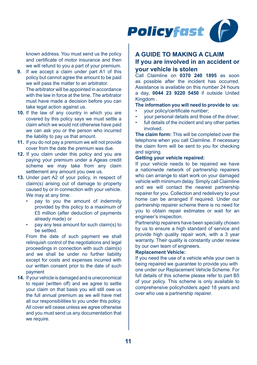

known address. You must send us the policy and certificate of motor insurance and then we will refund to you a part of your premium.

- **9.** If we accept a claim under part A1 of this policy but cannot agree the amount to be paid we will pass the matter to an arbitrator. The arbitrator will be appointed in accordance with the law in force at the time. The arbitrator must have made a decision before you can take legal action against us.
- 10. If the law of any country in which you are covered by this policy says we must settle a claim which we would not otherwise have paid we can ask you or the person who incurred the liability to pay us that amount.
- **11.** If you do not pay a premium we will not provide cover from the date the premium was due.
- **12.** If you claim under this policy and you are paying your premium under a Ageas credit scheme we may take from any claim settlement any amount you owe us.
- **13.** Under part A2 of your policy, in respect of claim(s) arising out of damage to property caused by or in connection with your vehicle. We may at any time:
	- pay to you the amount of indemnity provided by this policy to a maximum of £5 million (after deduction of payments already made) or
	- pay any less amount for such claim(s) to be settled.

From the date of such payment we shall relinquish control of the negotiations and legal proceedings in connection with such claim(s) and we shall be under no further liability except for costs and expenses incurred with our written consent prior to the date of such payment

**14.** If your vehicle is damaged and is uneconomical to repair (written off) and we agree to settle your claim on that basis you will still owe us the full annual premium as we will have met all our responsibilities to you under this policy. All cover will cease unless we agree otherwise and you must send us any documentation that we require.

## **A GUIDE TO MAKING A CLAIM If you are involved in an accident or your vehicle is stolen**

Call Claimline on **0370 240 1895** as soon as possible after the incident has occurred. Assistance is available on this number 24 hours a day, **0044 23 9220 5450** if outside United Kingdom .

## **The information you will need to provide to us:**

- your policy/certificate number;
- your personal details and those of the driver;
- full details of the incident and any other parties involved.

**The claim form:** This will be completed over the telephone when you call Claimline. If necessary the claim form will be sent to you for checking and signing.

## **Getting your vehicle repaired:**

If your vehicle needs to be repaired we have a nationwide network of partnership repairers who can arrange to start work on your damaged vehicle with minimum delay. Simply call Claimline and we will contact the nearest partnership repairer for you. Collection and redelivery to your home can be arranged if required. Under our partnership repairer scheme there is no need for you to obtain repair estimates or wait for an engineer's inspection.

Partnership repairers have been specially chosen by us to ensure a high standard of service and provide high quality repair work, with a 3 year warranty. Their quality is constantly under review by our own team of engineers.

## **Replacement Vehicle:**

If you need the use of a vehicle while your own is being repaired we guarantee to provide you with one under our Replacement Vehicle Scheme. For full details of this scheme please refer to part B5 of your policy. This scheme is only available to comprehensive policyholders aged 18 years and over who use a partnership repairer.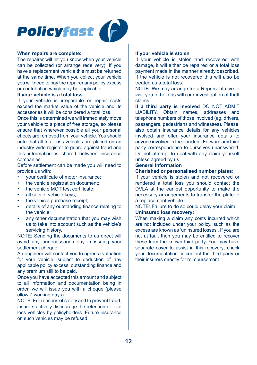# **Policyfast**



## **When repairs are complete:**

The repairer will let you know when your vehicle can be collected (or arrange redelivery). If you have a replacement vehicle this must be returned at the same time. When you collect your vehicle you will need to pay the repairer any policy excess or contribution which may be applicable.

#### **If your vehicle is a total loss**

If your vehicle is irreparable or repair costs exceed the market value of the vehicle and its accessories it will be considered a total loss.

Once this is determined we will immediately move your vehicle to a place of free storage, so please ensure that wherever possible all your personal effects are removed from your vehicle. You should note that all total loss vehicles are placed on an industry-wide register to guard against fraud and this information is shared between insurance companies.

Before settlement can be made you will need to provide us with:

- your certificate of motor insurance;
- the vehicle registration document:
- the vehicle MOT test certificate:
- all sets of vehicle keys:
- the vehicle purchase receipt:
- details of any outstanding finance relating to the vehicle;
- any other documentation that you may wish us to take into account such as the vehicle's servicing history.

NOTE: Sending the documents to us direct will avoid any unnecessary delay in issuing your settlement cheque.

An engineer will contact you to agree a valuation for your vehicle, subject to deduction of any applicable policy excess, outstanding finance and any premium still to be paid.

Once you have accepted this amount and subject to all information and documentation being in order, we will issue you with a cheque (please allow 7 working days).

NOTE: For reasons of safety and to prevent fraud, insurers actively discourage the retention of total loss vehicles by policyholders. Future insurance on such vehicles may be refused.

#### **If your vehicle is stolen**

If your vehicle is stolen and recovered with damage, it will either be repaired or a total loss payment made in the manner already described. If the vehicle is not recovered this will also be treated as a total loss.

NOTE: We may arrange for a Representative to visit you to help us with our investigation of theft claims.

**If a third party is involved** DO NOT ADMIT LIABILITY. Obtain names, addresses and telephone numbers of those involved (eg. drivers, passengers, pedestrians and witnesses). Please also obtain insurance details for any vehicles involved and offer your insurance details to anyone involved in the accident. Forward any third party correspondence to ourselves unanswered. Do not attempt to deal with any claim yourself unless agreed by us.

## **General Information**

#### **Cherished or personalised number plates:**

If your vehicle is stolen and not recovered or rendered a total loss you should contact the DVLA at the earliest opportunity to make the necessary arrangements to transfer the plate to a replacement vehicle.

NOTE: Failure to do so could delay your claim.

## **Uninsured loss recovery:**

When making a claim any costs incurred which are not included under your policy, such as the excess are known as 'uninsured losses'. If you are not at fault then you may be entitled to recover these from the known third party. You may have separate cover to assist in this recovery; check your documentation or contact the third party or their insurers directly for reimbursement .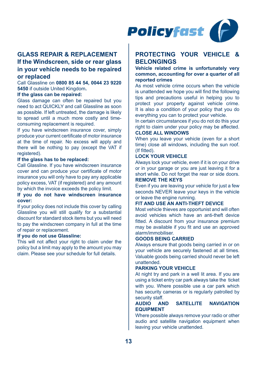

## **GLASS REPAIR & REPLACEMENT**

## **If the Windscreen, side or rear glass in your vehicle needs to be repaired or replaced**

Call Glassline on **0800 85 44 54, 0044 23 9220 5450** if outside United Kingdom**.**

#### **If the glass can be repaired:**

Glass damage can often be repaired but you need to act QUICKLY and call Glassline as soon as possible. If left untreated, the damage is likely to spread until a much more costly and timeconsuming replacement is required.

If you have windscreen insurance cover, simply produce your current certificate of motor insurance at the time of repair. No excess will apply and there will be nothing to pay (except the VAT if registered).

#### **If the glass has to be replaced:**

Call Glassline. If you have windscreen insurance cover and can produce your certificate of motor insurance you will only have to pay any applicable policy excess, VAT (if registered) and any amount by which the invoice exceeds the policy limit.

**If you do not have windscreen insurance cover:**

If your policy does not include this cover by calling Glassline you will still qualify for a substantial discount for standard stock items but you will need to pay the windscreen company in full at the time of repair or replacement.

#### **If you do not use Glassline:**

This will not affect your right to claim under the policy but a limit may apply to the amount you may claim. Please see your schedule for full details.

## **PROTECTING YOUR VEHICLE & BELONGINGS**

## **Vehicle related crime is unfortunately very common, accounting for over a quarter of all reported crimes**

As most vehicle crime occurs when the vehicle is unattended we hope you will find the following tips and precautions useful in helping you to protect your property against vehicle crime. It is also a condition of your policy that you do everything you can to protect your vehicle.

In certain circumstances if you do not do this your right to claim under your policy may be affected.

## **CLOSE ALL WINDOWS**

When you leave your vehicle (even for a short time) close all windows, including the sun roof. (If fitted).

#### **LOCK YOUR VEHICLE**

Always lock your vehicle, even if it is on your drive or in your garage or you are just leaving it for a short while. Do not forget the rear or side doors. **REMOVE THE KEYS**

Even if you are leaving your vehicle for just a few seconds NEVER leave your keys in the vehicle or leave the engine running.

#### **FIT AND USE AN ANTI-THEFT DEVICE**

Most vehicle thieves are opportunist and will often avoid vehicles which have an anti-theft device fitted. A discount from your insurance premium may be available if you fit and use an approved alarm/immobiliser.

#### **GOODS BEING CARRIED**

Always ensure that goods being carried in or on your vehicle are securely fastened at all times. Valuable goods being carried should never be left unattended.

## **PARKING YOUR VEHICLE**

At night try and park in a well lit area. If you are using a ticket entry car park always take the ticket with you. Where possible use a car park which has security cameras or is regularly patrolled by security staff.<br>AUDIO AND

#### **AUDIO AUDITE NAVIGATION EQUIPMENT**

Where possible always remove your radio or other audio and satellite navigation equipment when leaving your vehicle unattended.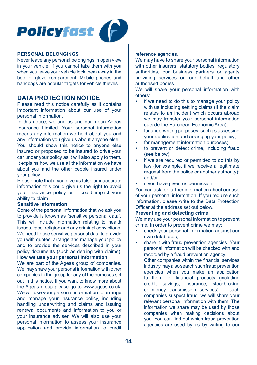



#### **PERSONAL BELONGINGS**

Never leave any personal belongings in open view in your vehicle. If you cannot take them with you when you leave your vehicle lock them away in the boot or glove compartment. Mobile phones and handbags are popular targets for vehicle thieves.

## **DATA PROTECTION NOTICE**

Please read this notice carefully as it contains important information about our use of your personal information.

In this notice, we and us and our mean Ageas Insurance Limited. Your personal information means any information we hold about you and any information you give us about anyone else.

You should show this notice to anyone else insured or proposed to be insured to drive your car under your policy as it will also apply to them. It explains how we use all the information we have about you and the other people insured under your policy.

Please note that if you give us false or inaccurate information this could give us the right to avoid your insurance policy or it could impact your ability to claim.

#### **Sensitive information**

Some of the personal information that we ask you to provide is known as "sensitive personal data". This will include information relating to health issues, race, religion and any criminal convictions. We need to use sensitive personal data to provide you with quotes, arrange and manage your policy and to provide the services described in your policy documents (such as dealing with claims). **How we use your personal information**

We are part of the Ageas group of companies. We may share your personal information with other companies in the group for any of the purposes set out in this notice. If you want to know more about the Ageas group please go to www.ageas.co.uk. We will use your personal information to arrange and manage your insurance policy, including handling underwriting and claims and issuing renewal documents and information to you or your insurance adviser. We will also use your personal information to assess your insurance application and provide information to credit

#### reference agencies.

We may have to share your personal information with other insurers, statutory bodies, regulatory authorities, our business partners or agents providing services on our behalf and other authorised bodies.

We will share your personal information with others:

- if we need to do this to manage your policy with us including settling claims (if the claim relates to an incident which occurs abroad we may transfer your personal information outside the European Economic Area);
- for underwriting purposes, such as assessing your application and arranging your policy;
- for management information purposes:
- to prevent or detect crime, including fraud (see below);
- if we are required or permitted to do this by law (for example, if we receive a legitimate request from the police or another authority); and/or
- if you have given us permission.

You can ask for further information about our use of your personal information. If you require such information, please write to the Data Protection Officer at the address set out below.

#### **Preventing and detecting crime**

We may use your personal information to prevent crime. In order to prevent crime we may:

- check your personal information against our own databases;
- share it with fraud prevention agencies. Your personal information will be checked with and recorded by a fraud prevention agency.

Other companies within the financial services industry may also search such fraud prevention agencies when you make an application to them for financial products (including credit, savings, insurance, stockbroking or money transmission services). If such companies suspect fraud, we will share your relevant personal information with them. The information we share may be used by those companies when making decisions about you. You can find out which fraud prevention agencies are used by us by writing to our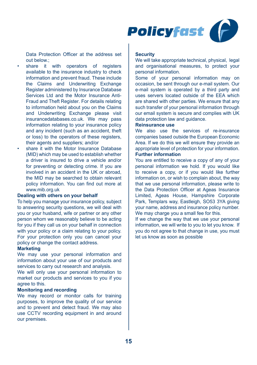

Data Protection Officer at the address set out below.

- share it with operators of registers available to the insurance industry to check information and prevent fraud. These include the Claims and Underwriting Exchange Register administered by Insurance Database Services Ltd and the Motor Insurance Anti-Fraud and Theft Register. For details relating to information held about you on the Claims and Underwriting Exchange please visit insurancedatabases.co.uk. We may pass information relating to your insurance policy and any incident (such as an accident, theft or loss) to the operators of these registers, their agents and suppliers; and/or
- share it with the Motor Insurance Database (MID) which may be used to establish whether a driver is insured to drive a vehicle and/or for preventing or detecting crime. If you are involved in an accident in the UK or abroad, the MID may be searched to obtain relevant policy information. You can find out more at www.mib.org.uk

#### **Dealing with others on your behalf**

To help you manage your insurance policy, subject to answering security questions, we will deal with you or your husband, wife or partner or any other person whom we reasonably believe to be acting for you if they call us on your behalf in connection with your policy or a claim relating to your policy. For your protection only you can cancel your policy or change the contact address.

#### **Marketing**

We may use your personal information and information about your use of our products and services to carry out research and analysis.

We will only use your personal information to market our products and services to you if you agree to this.

#### **Monitoring and recording**

We may record or monitor calls for training purposes, to improve the quality of our service and to prevent and detect fraud. We may also use CCTV recording equipment in and around our premises.

#### **Security**

We will take appropriate technical, physical, legal and organisational measures, to protect your personal information.

Some of your personal information may on occasion, be sent through our e-mail system. Our e-mail system is operated by a third party and uses servers located outside of the EEA which are shared with other parties. We ensure that any such transfer of your personal information through our email system is secure and complies with UK data protection law and guidance.

#### **Reinsurance use**

We also use the services of re-insurance companies based outside the European Economic Area. If we do this we will ensure they provide an appropriate level of protection for your information. **Further information**

You are entitled to receive a copy of any of your personal information we hold. If you would like to receive a copy, or if you would like further information on, or wish to complain about, the way that we use personal information, please write to the Data Protection Officer at Ageas Insurance Limited, Ageas House, Hampshire Corporate Park, Templars way, Eastleigh, SO53 3YA giving your name, address and insurance policy number. We may charge you a small fee for this.

If we change the way that we use your personal information, we will write to you to let you know. If you do not agree to that change in use, you must let us know as soon as possible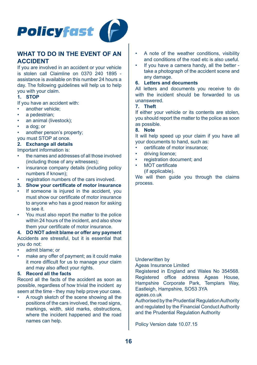

## **WHAT TO DO IN THE EVENT OF AN ACCIDENT**

If you are involved in an accident or your vehicle is stolen call Claimline on 0370 240 1895 assistance is available on this number 24 hours a day. The following guidelines will help us to help you with your claim.

## **1. STOP**

If you have an accident with:

- another vehicle;
- a pedestrian;
- an animal (livestock);
- a dog; or
- another person's property: you must STOP at once.

## **2. Exchange all details**

Important information is:

- the names and addresses of all those involved (including those of any witnesses);
- insurance company details (including policy numbers if known);
- registration numbers of the cars involved.
- **3. Show your certificate of motor insurance**
- If someone is injured in the accident, you must show our certificate of motor insurance to anyone who has a good reason for asking to see it.
- You must also report the matter to the police within 24 hours of the incident, and also show them your certificate of motor insurance.

**4. DO NOT admit blame or offer any payment** Accidents are stressful, but it is essential that you do not:

- admit blame; or
- make any offer of payment; as it could make it more difficult for us to manage your claim and may also affect your rights.

#### **5. Record all the facts**

Record all the facts of the accident as soon as possible, regardless of how trivial the incident ay seem at the time - they may help prove your case.

• A rough sketch of the scene showing all the positions of the cars involved, the road signs, markings, width, skid marks, obstructions, where the incident happened and the road names can help.

- A note of the weather conditions, visibility and conditions of the road etc is also useful.
- If you have a camera handy, all the better take a photograph of the accident scene and any damage.

### **6. Letters and documents**

All letters and documents you receive to do with the incident should be forwarded to us unanswered.

## **7. Theft**

If either your vehicle or its contents are stolen, you should report the matter to the police as soon as possible.

## **8. Note**

It will help speed up your claim if you have all your documents to hand, such as:

- certificate of motor insurance;
- driving licence:
- registration document; and
	- MOT certificate (if applicable).

We will then guide you through the claims process.

## Underwritten by

Ageas Insurance Limited

Registered in England and Wales No 354568. Registered office address Ageas House, Hampshire Corporate Park, Templars Way, Eastleigh, Hampshire, SO53 3YA ageas.co.uk

Authorised by the Prudential Regulation Authority and regulated by the Financial Conduct Authority and the Prudential Regulation Authority

Policy Version date 10.07.15